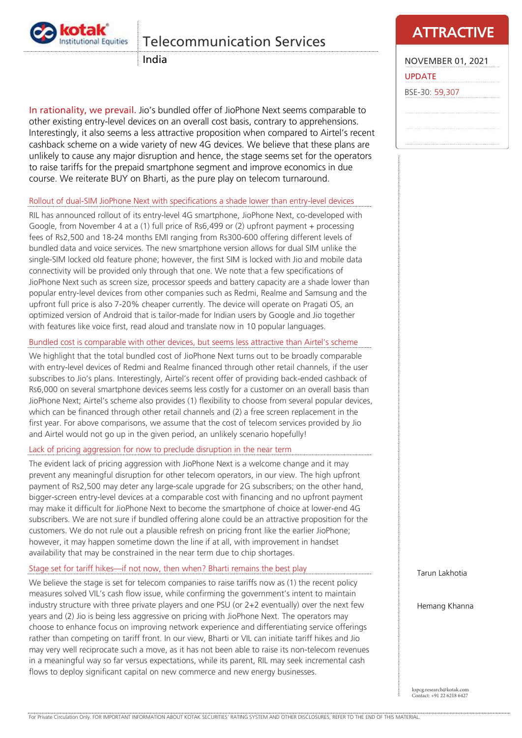

## Telecommunication Services

India

In rationality, we prevail. Jio's bundled offer of JioPhone Next seems comparable to other existing entry-level devices on an overall cost basis, contrary to apprehensions. Interestingly, it also seems a less attractive proposition when compared to Airtel's recent cashback scheme on a wide variety of new 4G devices. We believe that these plans are unlikely to cause any major disruption and hence, the stage seems set for the operators to raise tariffs for the prepaid smartphone segment and improve economics in due course. We reiterate BUY on Bharti, as the pure play on telecom turnaround.

### Rollout of dual-SIM JioPhone Next with specifications a shade lower than entry-level devices

RIL has announced rollout of its entry-level 4G smartphone, JioPhone Next, co-developed with Google, from November 4 at a (1) full price of Rs6,499 or (2) upfront payment + processing fees of Rs2,500 and 18-24 months EMI ranging from Rs300-600 offering different levels of bundled data and voice services. The new smartphone version allows for dual SIM unlike the single-SIM locked old feature phone; however, the first SIM is locked with Jio and mobile data connectivity will be provided only through that one. We note that a few specifications of JioPhone Next such as screen size, processor speeds and battery capacity are a shade lower than popular entry-level devices from other companies such as Redmi, Realme and Samsung and the upfront full price is also 7-20% cheaper currently. The device will operate on Pragati OS, an optimized version of Android that is tailor-made for Indian users by Google and Jio together with features like voice first, read aloud and translate now in 10 popular languages.

### Bundled cost is comparable with other devices, but seems less attractive than Airtel's scheme

We highlight that the total bundled cost of JioPhone Next turns out to be broadly comparable with entry-level devices of Redmi and Realme financed through other retail channels, if the user subscribes to Jio's plans. Interestingly, Airtel's recent offer of providing back-ended cashback of Rs6,000 on several smartphone devices seems less costly for a customer on an overall basis than JioPhone Next; Airtel's scheme also provides (1) flexibility to choose from several popular devices, which can be financed through other retail channels and (2) a free screen replacement in the first year. For above comparisons, we assume that the cost of telecom services provided by Jio and Airtel would not go up in the given period, an unlikely scenario hopefully!

### Lack of pricing aggression for now to preclude disruption in the near term

The evident lack of pricing aggression with JioPhone Next is a welcome change and it may prevent any meaningful disruption for other telecom operators, in our view. The high upfront payment of Rs2,500 may deter any large-scale upgrade for 2G subscribers; on the other hand, bigger-screen entry-level devices at a comparable cost with financing and no upfront payment may make it difficult for JioPhone Next to become the smartphone of choice at lower-end 4G subscribers. We are not sure if bundled offering alone could be an attractive proposition for the customers. We do not rule out a plausible refresh on pricing front like the earlier JioPhone; however, it may happen sometime down the line if at all, with improvement in handset availability that may be constrained in the near term due to chip shortages.

### Stage set for tariff hikes—if not now, then when? Bharti remains the best play

We believe the stage is set for telecom companies to raise tariffs now as (1) the recent policy measures solved VIL's cash flow issue, while confirming the government's intent to maintain industry structure with three private players and one PSU (or 2+2 eventually) over the next few years and (2) Jio is being less aggressive on pricing with JioPhone Next. The operators may choose to enhance focus on improving network experience and differentiating service offerings rather than competing on tariff front. In our view, Bharti or VIL can initiate tariff hikes and Jio may very well reciprocate such a move, as it has not been able to raise its non-telecom revenues in a meaningful way so far versus expectations, while its parent, RIL may seek incremental cash flows to deploy significant capital on new commerce and new energy businesses.

## **ATTRACTIVE**

NOVEMBER 01, 2021 UPDATE BSE-30: 59,307

Tarun Lakhotia

Hemang Khanna

kspcg.research@kotak.com Contact: +91 22 6218 6427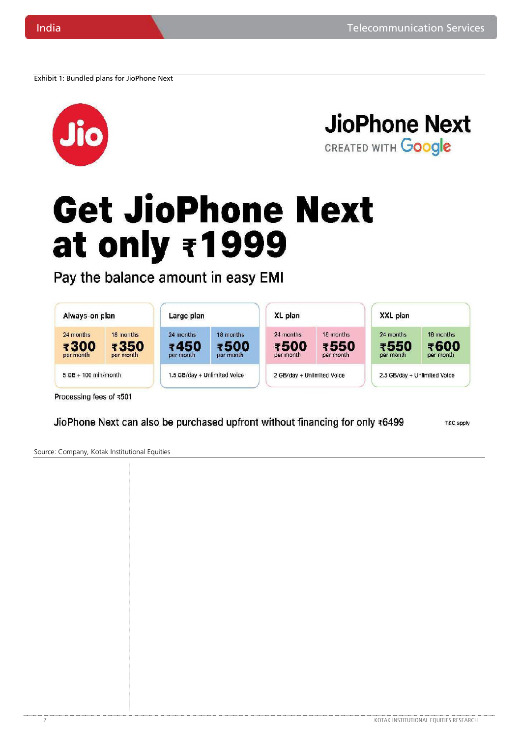Exhibit 1: Bundled plans for JioPhone Next



**JioPhone Next** CREATED WITH Google

# **Get JioPhone Next** at only ₹1999

Pay the balance amount in easy EMI

| Always-on plan                 |                                | Large plan                     |                                | XL plan                        |                                | XXL plan                       |                                |
|--------------------------------|--------------------------------|--------------------------------|--------------------------------|--------------------------------|--------------------------------|--------------------------------|--------------------------------|
| 24 months<br>₹300<br>per month | 18 months<br>₹350<br>per month | 24 months<br>₹450<br>per month | 18 months<br>₹500<br>per month | 24 months<br>₹500<br>per month | 18 months<br>₹550<br>per month | 24 months<br>₹550<br>per month | 18 months<br>₹600<br>per month |
| $5$ GB + 100 min/month         |                                | 1.5 GB/day + Unlimited Voice   |                                | 2 GB/day + Unlimited Voice     |                                | 2.5 GB/day + Unlimited Voice   |                                |

JioPhone Next can also be purchased upfront without financing for only ₹6499

T&C apply

Source: Company, Kotak Institutional Equities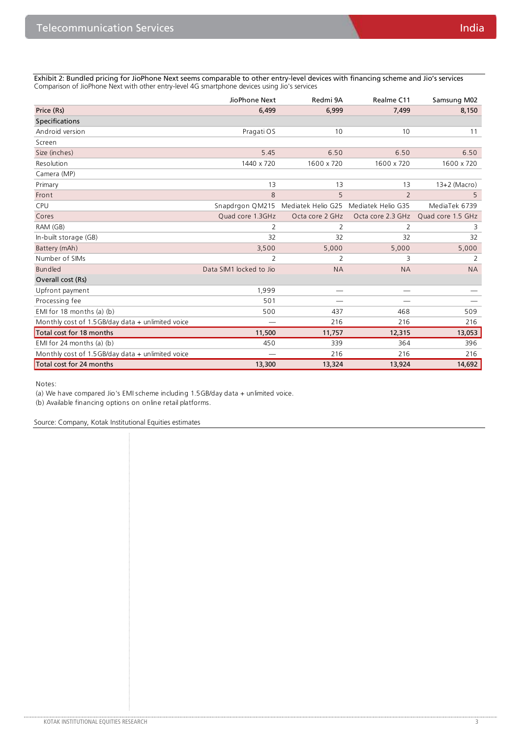Exhibit 2: Bundled pricing for JioPhone Next seems comparable to other entry-level devices with financing scheme and Jio's services Comparison of JioPhone Next with other entry-level 4G smartphone devices using Jio's services

|                                                     | JioPhone Next           | Redmi 9A           | Realme C11         | Samsung M02       |
|-----------------------------------------------------|-------------------------|--------------------|--------------------|-------------------|
| Price (Rs)                                          | 6,499                   | 6,999              | 7,499              | 8,150             |
| <b>Specifications</b>                               |                         |                    |                    |                   |
| Android version                                     | Pragati OS              | 10                 | 10                 | 11                |
| Screen                                              |                         |                    |                    |                   |
| Size (inches)                                       | 5.45                    | 6.50               | 6.50               | 6.50              |
| Resolution                                          | 1440 x 720              | 1600 x 720         | 1600 x 720         | 1600 x 720        |
| Camera (MP)                                         |                         |                    |                    |                   |
| Primary                                             | 13                      | 13                 | 13                 | $13+2$ (Macro)    |
| Front                                               | 8                       | 5                  | $\overline{2}$     | 5                 |
| <b>CPU</b>                                          | Snapdrgon QM215         | Mediatek Helio G25 | Mediatek Helio G35 | MediaTek 6739     |
| Cores                                               | Quad core 1.3GHz        | Octa core 2 GHz    | Octa core 2.3 GHz  | Quad core 1.5 GHz |
| RAM (GB)                                            | 2                       | 2                  | 2                  | 3                 |
| In-built storage (GB)                               | 32                      | 32                 | 32                 | 32                |
| Battery (mAh)                                       | 3,500                   | 5,000              | 5,000              | 5,000             |
| Number of SIMs                                      | $\overline{2}$          | 2                  | 3                  | 2                 |
| Bundled                                             | Data SIM1 locked to Jio | <b>NA</b>          | <b>NA</b>          | <b>NA</b>         |
| Overall cost (Rs)                                   |                         |                    |                    |                   |
| Upfront payment                                     | 1,999                   |                    |                    |                   |
| Processing fee                                      | 501                     |                    |                    |                   |
| EMI for $18$ months (a) (b)                         | 500                     | 437                | 468                | 509               |
| Monthly cost of 1.5 GB/day data $+$ unlimited voice |                         | 216                | 216                | 216               |
| Total cost for 18 months                            | 11,500                  | 11,757             | 12,315             | 13,053            |
| EMI for 24 months (a) (b)                           | 450                     | 339                | 364                | 396               |
| Monthly cost of 1.5GB/day data + unlimited voice    |                         | 216                | 216                | 216               |
| Total cost for 24 months                            | 13,300                  | 13,324             | 13,924             | 14,692            |

Notes:

(a) We have compared Jio's EMI scheme including 1.5GB/day data + unlimited voice.

(b) Available financing options on online retail platforms.

Source: Company, Kotak Institutional Equities estimates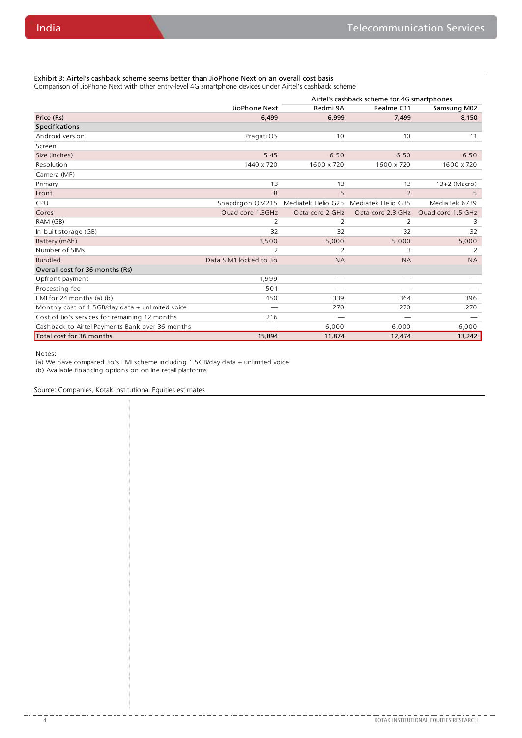Exhibit 3: Airtel's cashback scheme seems better than JioPhone Next on an overall cost basis Comparison of JioPhone Next with other entry-level 4G smartphone devices under Airtel's cashback scheme

|                                                     |                         | Airtel's cashback scheme for 4G smartphones |                    |                   |
|-----------------------------------------------------|-------------------------|---------------------------------------------|--------------------|-------------------|
|                                                     | JioPhone Next           | Redmi 9A                                    | Realme C11         | Samsung M02       |
| Price (Rs)                                          | 6,499                   | 6,999                                       | 7,499              | 8,150             |
| <b>Specifications</b>                               |                         |                                             |                    |                   |
| Android version                                     | Pragati OS              | 10                                          | 10                 | 11                |
| Screen                                              |                         |                                             |                    |                   |
| Size (inches)                                       | 5.45                    | 6.50                                        | 6.50               | 6.50              |
| Resolution                                          | 1440 x 720              | 1600 x 720                                  | 1600 x 720         | 1600 x 720        |
| Camera (MP)                                         |                         |                                             |                    |                   |
| Primary                                             | 13                      | 13                                          | 13                 | $13+2$ (Macro)    |
| Front                                               | 8                       | 5                                           | $\overline{2}$     | 5                 |
| CPU                                                 | Snapdrgon QM215         | Mediatek Helio G25                          | Mediatek Helio G35 | MediaTek 6739     |
| Cores                                               | Quad core 1.3GHz        | Octa core 2 GHz                             | Octa core 2.3 GHz  | Quad core 1.5 GHz |
| RAM (GB)                                            | 2                       | 2                                           | 2                  | 3                 |
| In-built storage (GB)                               | 32                      | 32                                          | 32                 | 32                |
| Battery (mAh)                                       | 3,500                   | 5,000                                       | 5,000              | 5,000             |
| Number of SIMs                                      | 2                       | 2                                           | 3                  | 2                 |
| Bundled                                             | Data SIM1 locked to Jio | <b>NA</b>                                   | <b>NA</b>          | <b>NA</b>         |
| Overall cost for 36 months (Rs)                     |                         |                                             |                    |                   |
| Upfront payment                                     | 1,999                   |                                             |                    |                   |
| Processing fee                                      | 501                     |                                             | --                 |                   |
| EMI for 24 months (a) (b)                           | 450                     | 339                                         | 364                | 396               |
| Monthly cost of $1.5$ GB/day data + unlimited voice |                         | 270                                         | 270                | 270               |
| Cost of Jio's services for remaining 12 months      | 216                     |                                             | --                 |                   |
| Cashback to Airtel Payments Bank over 36 months     |                         | 6,000                                       | 6,000              | 6,000             |
| Total cost for 36 months                            | 15,894                  | 11,874                                      | 12,474             | 13,242            |

Notes:

(a) We have compared Jio's EMI scheme including 1.5GB/day data + unlimited voice.

(b) Available financing options on online retail platforms.

Source: Companies, Kotak Institutional Equities estimates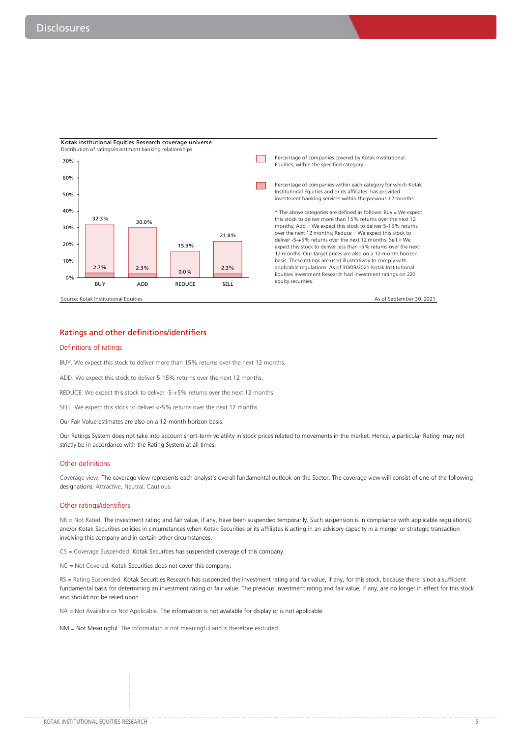

### Ratings and other definitions/identifiers

### Definitions of ratings

BUY. We expect this stock to deliver more than 15% returns over the next 12 months.

ADD. We expect this stock to deliver 5-15% returns over the next 12 months.

REDUCE. We expect this stock to deliver -5-+5% returns over the next 12 months.

SELL. We expect this stock to deliver <-5% returns over the next 12 months.

Our Fair Value estimates are also on a 12-month horizon basis.

Our Ratings System does not take into account short-term volatility in stock prices related to movements in the market. Hence, a particular Rating may not strictly be in accordance with the Rating System at all times.

### Other definitions

Coverage view. The coverage view represents each analyst's overall fundamental outlook on the Sector. The coverage view will consist of one of the following designations: Attractive, Neutral, Cautious.

### Other ratings/identifiers

NR = Not Rated. The investment rating and fair value, if any, have been suspended temporarily. Such suspension is in compliance with applicable regulation(s) and/or Kotak Securities policies in circumstances when Kotak Securities or its affiliates is acting in an advisory capacity in a merger or strategic transaction involving this company and in certain other circumstances.

CS = Coverage Suspended. Kotak Securities has suspended coverage of this company.

NC = Not Covered. Kotak Securities does not cover this company.

RS = Rating Suspended. Kotak Securities Research has suspended the investment rating and fair value, if any, for this stock, because there is not a sufficient fundamental basis for determining an investment rating or fair value. The previous investment rating and fair value, if any, are no longer in effect for this stock and should not be relied upon.

NA = Not Available or Not Applicable. The information is not available for display or is not applicable.

NM = Not Meaningful. The information is not meaningful and is therefore excluded.